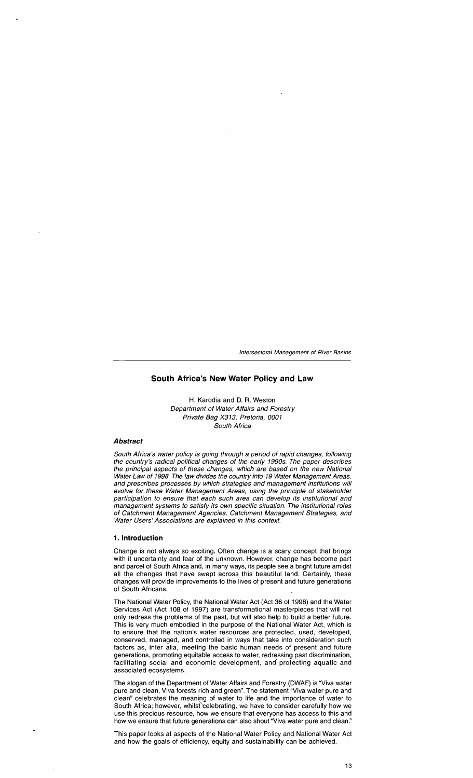# **South Africa's New Water Policy and Law**

H. Karodia and D. R. Weston Department of Water Affairs and Forestry Private Bag X313, Pretoria, 0001 South Africa

### **Abstract**

South Africa's water policy is going through a period of rapid changes, following the country's radical political changes of the early 1990s. The paper describes the principal aspects of these changes, which are based on the new National Water Law of 1998. The law divides the country into 19 Water Management Areas, and prescribes processes by which strategies and management institutions will evolve for these Water Management Areas, using the principle of stakeholder participation to ensure that each such area can develop its Institutional and management systems to satisfy its own specific situation. The institutional roles of Catchment Management Agencies, Catchment Management Strategies, and Water Users' Associations are explained in this context.

#### **1. Introduction**

Change is not always so exciting. Often change is a scary concept that brings with it uncertainty and fear of the unknown. However, change has become part and parcel of South Africa and, in many ways, its people see a bright future amidst all the changes that have swept across this beautiful land. Certainly, these changes will provide improvements to the lives of present and future generations of South Africans.

The National Water Policy, the National Water Act (Act 36 of 1998) and the Water Services Act (Act 108 of 1997) are transformational masterpieces that will not only redress the problems of the past, but will also help to build a better future. This is very much embodied in the purpose of the National Water Act, which is to ensure that the nation's water resources are protected, used, developed, conserved, managed, and controlled in ways that take into consideration such factors as, inter alia, meeting the basic human needs of present and future generations, promoting equitable access to water, redressing past discrimination, facilitating social and economic development, and protecting aquatic and associated ecosystems.

The slogan of the Department of Water Affairs and Forestry (DWAF) is "Viva water pure and clean, Viva forests rich and green". The statement "Viva water pure and clean" celebrates the meaning of water to life and the importance of water to South Africa; however, whilst celebrating, we have to consider carefully how we use this precious resource, how we ensure that everyone has access to this and how we ensure that future generations can also shout "Viva water pure and clean."

This paper looks at aspects of the National Water Policy and National Water Act and how the goals of efficiency, equity and sustainability can be achieved.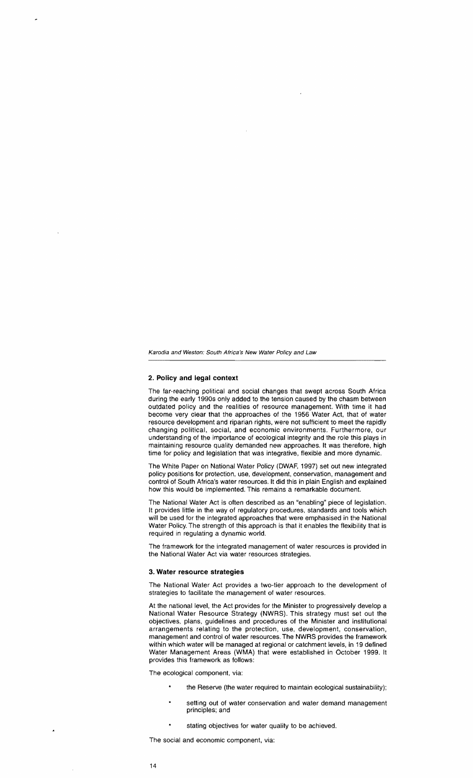### **2. Policy and legal context**

The far-reaching political and social changes that swept across South Africa during the early 1990s only added to the tension caused by the chasm between outdated policy and the realities of resource management. With time it had become very clear that the approaches of the 1956 Water Act, that of water resource development and riparian rights, were not sufficient to meet the rapidly changing political, social, and economic environments. Furthermore, our understanding of the importance of ecological integrity and the role this plays in maintaining resource quality demanded new approaches. It was therefore, high time for policy and legislation that was integrative, flexible and more dynamic.

The White Paper on National Water Policy (DWAF, 1997) set out new integrated policy positions for protection, use, development, conservation, management and control of South Africa's water resources. It did this in plain English and explained how this would be implemented. This remains a remarkable document.

The National Water Act is often described as an "enabling" piece of legislation. It provides little in the way of regulatory procedures, standards and tools which will be used for the integrated approaches that were emphasised in the National Water Policy. The strength of this approach is that it enables the flexibility that is required in regulating a dynamic world.

The framework for the integrated management of water resources is provided in the National Water Act via water resources strategies.

#### **3. Water resource strategies**

The National Water Act provides a two-tier approach to the development of strategies to facilitate the management of water resources.

At the national level, the Act provides for the Minister to progressively develop a National Water Resource Strategy (NWRS). This strategy must set out the objectives, plans, guidelines and procedures of the Minister and institutional arrangements relating to the protection, use, development, conservation, management and control of water resources. The NWRS provides the framework within which water will be managed at regional or catchment levels, in 19 defined Water Management Areas (WMA) that were established in October 1999. It provides this framework as follows:

The ecological component, via:

- $\bullet$ the Reserve (the water required to maintain ecological sustainability);
- setting out of water conservation and water demand management principles; and
- stating objectives for water quality to be achieved.

The social and economic component, via: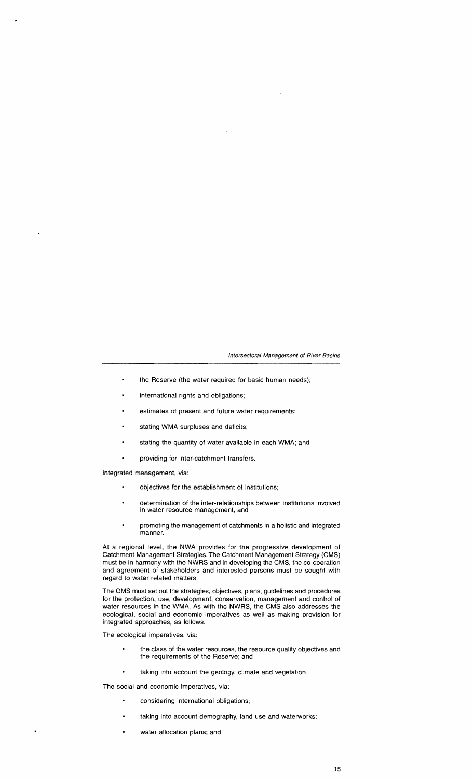- $\blacksquare$ the Reserve (the water required for basic human needs);
- international rights and obligations;  $\blacksquare$
- estimates of present and future water requirements;
- $\bullet$ stating WMA surpluses and deficits;
- stating the quantity of water available in each WMA; and  $\blacksquare$
- providing for inter-catchment transfers.

Integrated management, via:

- $\blacksquare$ objectives for the establishment of institutions;
- determination of the inter-relationships between institutions involved in water resource management; and
- promoting the management of catchments in a holistic and integrated manner.

At a regional level, the NWA provides for the progressive development of Catchment Management Strategies. The Catchment Management Strategy (CMS) must be in harmony with the NWRS and in developing the CMS, the co-operation and agreement of stakeholders and interested persons must be sought with regard to water related matters.

The OMS must set out the strategies, objectives, plans, guidelines and procedures for the protection, use, development, conservation, management and control of water resources in the WMA. As with the NWRS, the CMS 'also addresses the ecological, social and economic imperatives as well as making provision for integrated approaches, as follows.

The ecological imperatives, via:

- the class of the water resources, the resource quality objectives and the requirements of the Reserve; and
- taking into account the geology, climate and vegetation.

The social and economic imperatives, via:

- considering international obligations;
- $\blacksquare$ taking into account demography, land use and waterworks;
- $\bullet$ water allocation plans; and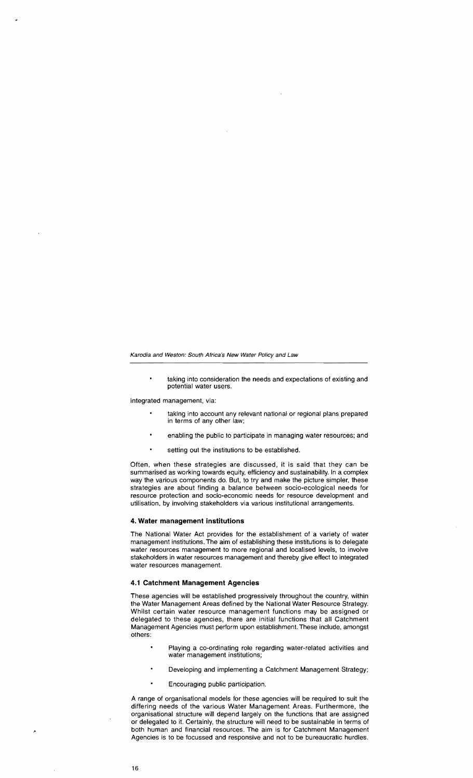$\blacksquare$ taking into consideration the needs and expectations of existing and potential water users,

Integrated management, via:

- taking into account any relevant national or regional plans prepared in terms of any other law;
- $\blacksquare$ enabling the public to participate in managing water resources; and
- setting out the institutions to be established.

Often, when these strategies are discussed, it is said that they can be summarised as working towards equity, efficiency and sustainability. In a complex way the various components do. But, to try and make the picture simpler, these strategies are about finding a balance between socio-ecological needs for resource protection and socio-economic needs for resource development and utilisation. by involving stakeholders via various institutional arrangements.

#### 4. Water management institutions

The National Water Act provides for the establishment of a variety of water management institutions. The aim of establishing these institutions is to delegate water resources management to more regional and localised levels, to involve stakeholders in water resources management and thereby give effect to integrated water resources management.

#### 4.1 Catchment Management Agencies

These agencies will be established progressively throughout the country, within the Water Management Areas defined by the National Water Resource Strategy. Whilst certain water resource management functions may be assigned or delegated to these agencies, there are initial functions that all Catchment Management Agencies must perform upon establishment. These include, amongst others:

- Playing a co-ordinating role regarding water-related activities and water management institutions;
- Developing and implementing a Catchment Management Strategy;
- Encouraging public participation.

A range of organisational models for these agencies will be required to suit the differing needs of the various Water Management Areas. Furthermore. the organisational structure will depend largely on the functions that are assigned or delegated to it. Certainly, the structure will need to be sustainable in terms of both human and financial resources. The aim is for Catchment Management Agencies is to be focussed and responsive and not to be bureaucratic hurdles.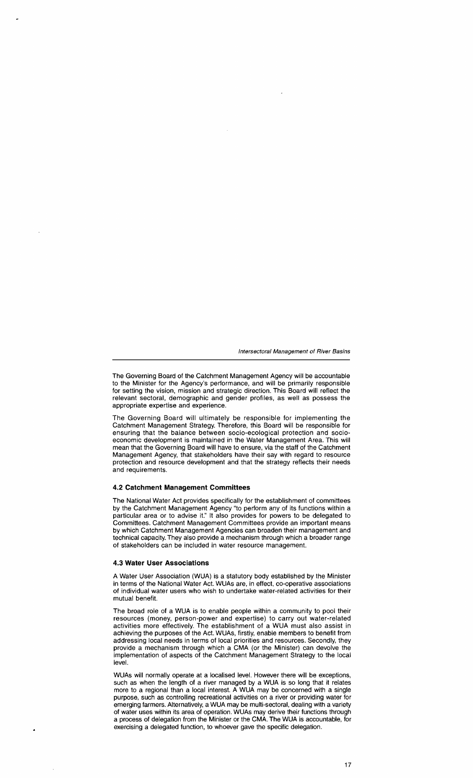The Governing Board of the Catchment Management Agency will be accountable to the Minister for the Agency's performance, and will be primarily responsible for setting the vision, mission and strategic direction. This Board will reflect the relevant sectoral, demographic and gender profiles, as well as possess the appropriate expertise and experience.

The Governing Board will ultimately be responsible for implementing the Catchment Management Strategy. Therefore, this Board will be responsible for ensuring that the balance between socio-ecological protection and socioeconomic development is maintained in the Water Management Area. This will mean that the Governing Board will have to ensure, via the staff of the Catchment Management Agency, that stakeholders have their say with regard to resource protection and resource development and that the strategy reflects their needs and requirements.

## **4.2 Catchment Management Committees**

The National Water Act provides specifically for the establishment of committees by the Catchment Management Agency "to perform any of its functions within a particular area or to advise it." It also provides for powers to be delegated to Committees. Catchment Management Committees provide an important means by which Catchment Management Agencies can broaden their management and technical capacity. They also provide a mechanism through which a broader range of stakeholders can be included in water resource management.

## **4.3 Water User Associations**

A Water User Association (WUA) is a statutory body established by the Minister in terms of the National Water Act. WUAs are, in effect, co-operative associations of individual water users who wish to undertake water-related activities for their mutual benefit.

The broad role of a WUA is to enable people within a community to pool their resources (money, person-power and expertise) to carry out water-related activities more effectively. The establishment of a WUA must also assist in achieving the purposes of the Act. WUAs, firstly, enable members to benefit from addressing local needs in terms of local priorities and resources. Secondly, they provide a mechanism through which a CMA (or the Minister) can devolve the implementation of aspects of the Catchment Management Strategy to the local level.

WUAs will normally operate at a localised level. However there will be exceptions, such as when the length of a river managed by a WUA is so long that it relates more to a regional than a local interest. A WUA may be concerned with a single purpose, such as controlling recreational activities on a river or providing water for emerging farmers. Alternatively, a WUA may be multi-sectoral, dealing with a variety of water uses within its area of operation. WUAs may derive their functions through a process of delegation from the Minister or the CMA. The WUA is accountable, for exercising a delegated function, to whoever gave the specific delegation.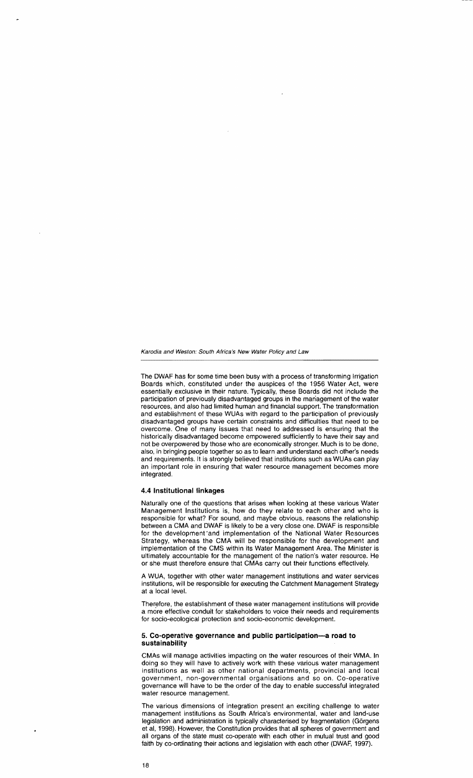The DWAF has for some time been busy with a process of transforming Irrigation Boards which, constituted under the auspices of the 1956 Water Act, were essentially exclusive in their nature. Typically, these Boards did not include the participation of previously disadvantaged groups in the management of the water resources, and also had limited human and financial support. The transformation and establishment of these WUAs with regard to the participation of previously disadvantaged groups have certain constraints and difficulties that need to be overcome. One of many issues that need to addressed is ensuring that the historically disadvantaged become empowered sufficiently to have their say and not be overpowered by those who are economically stronger. Much is to be done, also, in bringing people together so as to learn and understand each other's needs and requirements. It is strongly believed that institutions such as WUAs can play an important role in ensuring that water resource management becomes more integrated.

# **4.4 Institutional linkages**

Naturally one of the questions that arises when looking at these various Water Management Institutions is, how do they relate to each other and who is responsible for what? For sound, and maybe obvious, reasons the relationship between a CMA and DWAF is likely to be a very close one. DWAF is responsible for the development 'and implementation of the National Water Resources Strategy, whereas the CMA will be responsible for the development and implementation of the CMS within its Water Management Area. The Minister is ultimately accountable for the management of the nation's water resource. He or she must therefore ensure that CMAs carry out their functions effectively.

A WUA, together with other water management institutions and water services institutions, will be responsible for executing the Catchment Management Strategy at a local level.

Therefore, the establishment of these water management institutions will provide a more effective conduit for stakeholders to voice their needs and requirements for socio-ecological protection and socio-economic development.

#### 5. **Co-operative governance and public participation-a road to sustainability**

CMAs will manage activities impacting on the water resources of their WMA. In doing so they will have to actively work with these various water management institutions as well as other national departments, provincial and local government, non-governmental organisations and so on. Co-operative governance will have to be the order of the day to enable successful integrated water resource management.

The various dimensions of integration present an exciting challenge to water management institutions as South Africa's environmental, water and land-use legislation and administration is typically characterised by fragmentation (Görgens et ai, 1998). However, the Constitution provides that all spheres of government and all organs of the state must co-operate with each other in mutual trust and good faith by co-ordinating their actions and legislation with each other (DWAF, 1997).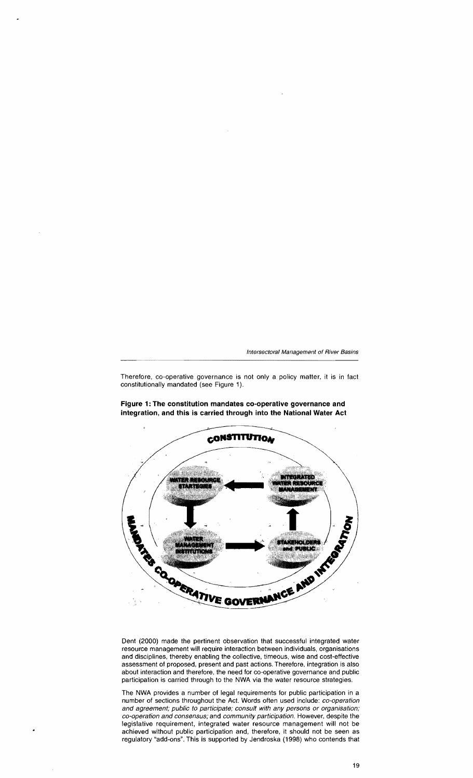Therefore, co-operative governance is not only a policy matter, **it is in** fact constitutionally mandated (see Figure 1).

**Figure 1: The constitution mandates co-operative governance and integration, and this is carried through into the National Water Act** 



Dent (2000) made the pertinent observation that successful integrated water resource management will require interaction between individuals, organisations and disciplines, thereby enabling the collective, timeous, wise and cost-effective assessment of proposed, present and past actions. Therefore, integration is also about interaction and therefore, the need for co-operative governance and public participation is carried through to the NWA via the water resource strategies.

The NWA provides a number of legal requirements for public participation **in** a number of sections throughout the Act. Words often used include: co-operation and agreement; public to participate; consult with any persons or organisation; co-operation and consensus; and community participation. However, despite the legislative requirement, integrated water resource management will not be achieved without public participation and, therefore, it should not be seen as regulatory "add-ons". This is supported by Jendroska (1998) who contends that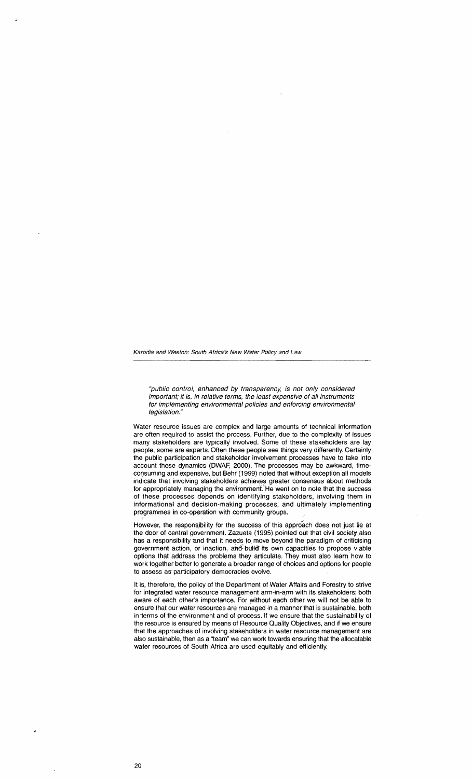"public control, enhanced by transparency, is not only considered important; it is, in relative terms, the least expensive of all instruments for implementing environmental policies and enforcing environmental legislation."

Water resource issues are complex and large amounts of technical information are often required to assist the process. Further, due to the complexity of issues many stakeholders are typically involved. Some of these stakeholders are lay people, some are experts. Often these people see things very differently. Certainly the public participation and stakeholder involvement processes have to take into account these dynamics (DWAF, 2000). The processes may be awkward, timeconsuming and expensive, but Behr (1999) noted that without exception all models indicate that involving stakeholders achieves greater consensus about methods for appropriately managing the environment. He went on to note that the success of these processes depends on identifying stakeholders, involving them in informational and decision-making processes, and ultimately implementing programmes in co-operation with community groups. .

However, the responsibility for the success of this approach does not just lie at the door of central government. Zazueta (1995) pointed out that civil society also has a responsibility and that it needs to move beyond the paradigm of criticising government action, or inaction, and build its own capacities to propose viable options that address the problems they articulate. They must also learn how to work together better to generate a broader range of choices and options for people to assess as participatory democracies evolve.

It is, therefore, the policy of the Department of Water Affairs and Forestry to strive for integrated water resource management arm-in-arm with its stakeholders; both aware of each other's importance. For without each other we will not be able to ensure that our water resources are managed in a manner that is sustainable, both in terms of the environment and of process. If we ensure that the sustainability of the resource is ensured by means of Resource Quality Objectives, and if we ensure that the approaches of involving stakeholders in water resource management are also sustainable, then as a "team" we can work towards ensuring that the allocatable water resources of South Africa are used equitably and efficiently.